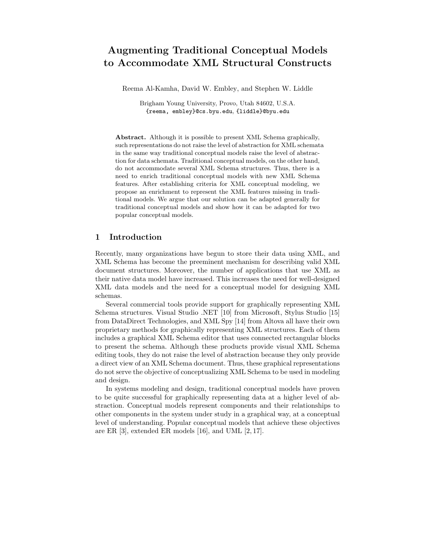# Augmenting Traditional Conceptual Models to Accommodate XML Structural Constructs

Reema Al-Kamha, David W. Embley, and Stephen W. Liddle

Brigham Young University, Provo, Utah 84602, U.S.A. {reema, embley}@cs.byu.edu, {liddle}@byu.edu

Abstract. Although it is possible to present XML Schema graphically, such representations do not raise the level of abstraction for XML schemata in the same way traditional conceptual models raise the level of abstraction for data schemata. Traditional conceptual models, on the other hand, do not accommodate several XML Schema structures. Thus, there is a need to enrich traditional conceptual models with new XML Schema features. After establishing criteria for XML conceptual modeling, we propose an enrichment to represent the XML features missing in traditional models. We argue that our solution can be adapted generally for traditional conceptual models and show how it can be adapted for two popular conceptual models.

## 1 Introduction

Recently, many organizations have begun to store their data using XML, and XML Schema has become the preeminent mechanism for describing valid XML document structures. Moreover, the number of applications that use XML as their native data model have increased. This increases the need for well-designed XML data models and the need for a conceptual model for designing XML schemas.

Several commercial tools provide support for graphically representing XML Schema structures. Visual Studio .NET [10] from Microsoft, Stylus Studio [15] from DataDirect Technologies, and XML Spy [14] from Altova all have their own proprietary methods for graphically representing XML structures. Each of them includes a graphical XML Schema editor that uses connected rectangular blocks to present the schema. Although these products provide visual XML Schema editing tools, they do not raise the level of abstraction because they only provide a direct view of an XML Schema document. Thus, these graphical representations do not serve the objective of conceptualizing XML Schema to be used in modeling and design.

In systems modeling and design, traditional conceptual models have proven to be quite successful for graphically representing data at a higher level of abstraction. Conceptual models represent components and their relationships to other components in the system under study in a graphical way, at a conceptual level of understanding. Popular conceptual models that achieve these objectives are ER [3], extended ER models [16], and UML [2, 17].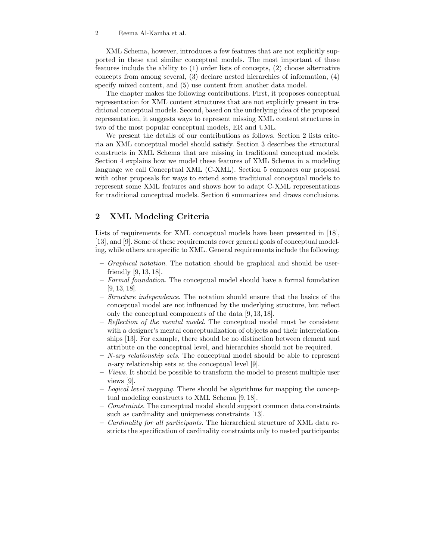XML Schema, however, introduces a few features that are not explicitly supported in these and similar conceptual models. The most important of these features include the ability to (1) order lists of concepts, (2) choose alternative concepts from among several, (3) declare nested hierarchies of information, (4) specify mixed content, and  $(5)$  use content from another data model.

The chapter makes the following contributions. First, it proposes conceptual representation for XML content structures that are not explicitly present in traditional conceptual models. Second, based on the underlying idea of the proposed representation, it suggests ways to represent missing XML content structures in two of the most popular conceptual models, ER and UML.

We present the details of our contributions as follows. Section 2 lists criteria an XML conceptual model should satisfy. Section 3 describes the structural constructs in XML Schema that are missing in traditional conceptual models. Section 4 explains how we model these features of XML Schema in a modeling language we call Conceptual XML (C-XML). Section 5 compares our proposal with other proposals for ways to extend some traditional conceptual models to represent some XML features and shows how to adapt C-XML representations for traditional conceptual models. Section 6 summarizes and draws conclusions.

## 2 XML Modeling Criteria

Lists of requirements for XML conceptual models have been presented in [18], [13], and [9]. Some of these requirements cover general goals of conceptual modeling, while others are specific to XML. General requirements include the following:

- *Graphical notation*. The notation should be graphical and should be userfriendly [9, 13, 18].
- Formal foundation. The conceptual model should have a formal foundation [9, 13, 18].
- $-$  *Structure independence*. The notation should ensure that the basics of the conceptual model are not influenced by the underlying structure, but reflect only the conceptual components of the data [9, 13, 18].
- $-$  Reflection of the mental model. The conceptual model must be consistent with a designer's mental conceptualization of objects and their interrelationships [13]. For example, there should be no distinction between element and attribute on the conceptual level, and hierarchies should not be required.
- $-$  N-ary relationship sets. The conceptual model should be able to represent n-ary relationship sets at the conceptual level [9].
- Views. It should be possible to transform the model to present multiple user views [9].
- Logical level mapping. There should be algorithms for mapping the conceptual modeling constructs to XML Schema [9, 18].
- $-$  Constraints. The conceptual model should support common data constraints such as cardinality and uniqueness constraints [13].
- Cardinality for all participants. The hierarchical structure of XML data restricts the specification of cardinality constraints only to nested participants;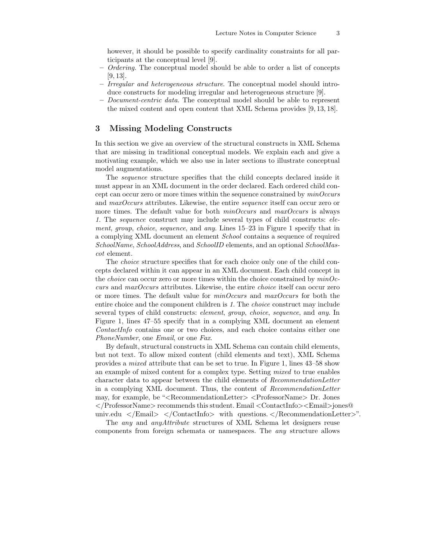however, it should be possible to specify cardinality constraints for all participants at the conceptual level [9].

- $-$  *Ordering*. The conceptual model should be able to order a list of concepts [9, 13].
- Irregular and heterogeneous structure. The conceptual model should introduce constructs for modeling irregular and heterogeneous structure [9].
- Document-centric data. The conceptual model should be able to represent the mixed content and open content that XML Schema provides [9, 13, 18].

## 3 Missing Modeling Constructs

In this section we give an overview of the structural constructs in XML Schema that are missing in traditional conceptual models. We explain each and give a motivating example, which we also use in later sections to illustrate conceptual model augmentations.

The sequence structure specifies that the child concepts declared inside it must appear in an XML document in the order declared. Each ordered child concept can occur zero or more times within the sequence constrained by  $minOccurs$ and maxOccurs attributes. Likewise, the entire sequence itself can occur zero or more times. The default value for both  $minOccurs$  and  $maxOccurs$  is always 1. The sequence construct may include several types of child constructs: element, group, choice, sequence, and any. Lines 15–23 in Figure 1 specify that in a complying XML document an element School contains a sequence of required SchoolName, SchoolAddress, and SchoolID elements, and an optional SchoolMascot element.

The choice structure specifies that for each choice only one of the child concepts declared within it can appear in an XML document. Each child concept in the *choice* can occur zero or more times within the choice constrained by  $minOc$ curs and maxOccurs attributes. Likewise, the entire choice itself can occur zero or more times. The default value for  $minOccurs$  and  $maxOccurs$  for both the entire choice and the component children is 1. The choice construct may include several types of child constructs: element, group, choice, sequence, and any. In Figure 1, lines 47–55 specify that in a complying XML document an element ContactInfo contains one or two choices, and each choice contains either one PhoneNumber, one Email, or one Fax.

By default, structural constructs in XML Schema can contain child elements, but not text. To allow mixed content (child elements and text), XML Schema provides a mixed attribute that can be set to true. In Figure 1, lines 43–58 show an example of mixed content for a complex type. Setting mixed to true enables character data to appear between the child elements of RecommendationLetter in a complying XML document. Thus, the content of RecommendationLetter may, for example, be "<RecommendationLetter> <ProfessorName> Dr. Jones </ProfessorName> recommends this student. Email <ContactInfo><Email>jones@ univ.edu </Email> </ContactInfo> with questions. </RecommendationLetter>".

The any and anyAttribute structures of XML Schema let designers reuse components from foreign schemata or namespaces. The any structure allows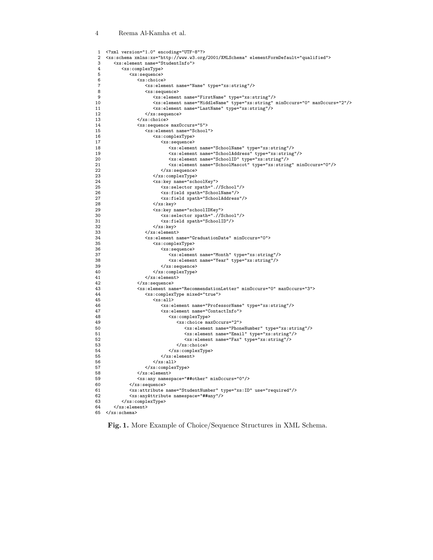#### 4 Reema Al-Kamha et al.

```
1 <?xml version="1.0" encoding="UTF-8"?><br>2 <xs:schema xmlns:xs="http://www.w3.org
 2 <xs:schema xmlns:xs="http://www.w3.org/2001/XMLSchema" elementFormDefault="qualified">
 3 <xs:element name="StudentInfo">
4 <xs:complexType><br>5 <xs:sequence>
 5 <xs:sequence><br>6 <xs:choice
 6 <xs:choice><br>7 <xs:elem
7 <xs:element name="Name" type="xs:string"/>
8 <xs:sequence><br>9 <xs:elemen
9 <xs:element name="FirstName" type="xs:string"/>
10 <xs:element name="MiddleName" type="xs:string" minOccurs="0" maxOccurs="2"/><br>11 <xs:element name="LastName" type="xs:string"/>
11 <xs:element name="LastName" type="xs:string"/><br>12 </xs:sequence>
12 </xs:sequence><br>13 </xs:choice>
13 </xs:choice><br>14 <xs:sequence
14 <xs:sequence maxOccurs="5"><br>15 <xs:element name="School
15 \langle x s :element name="School"><br>
\xi x s :complexType>
16 <xs:complexType><br>17 <xs:sequence>
17 \langle xs:\text{sequence}\rangle<br>18 \langle xs:\text{element}\rangle18 <xs:element name="SchoolName" type="xs:string"/>
19 <xs:element name="SchoolAddress" type="xs:string"/>
20 <xs:element name="SchoolID" type="xs:string"/>
21 <xs:element name="SchoolMascot" type="xs:string" minOccurs="0"/><br>22 </xs:sequence>
22 </xs:sequence><br>23 </xs:complexType>
23 </xs:complexType><br>24 <xs:key name="sch
24 <xs:key name="schoolKey"><br>25 <xs:selector xpath="./
25 <xs:selector xpath=".//School"/><br>26 <xs:field xpath="SchoolName"/>
26 <xs:field xpath="SchoolName"/><br>27 <xs:field xpath="SchoolName"/>
27 <xs:field xpath="SchoolAddress"/><br>28 </xs:kev>
28 </xs:key><br>29 <xs:key n
29 <xs:key name="schoolIDKey"><br>30 <xs:selector xpath=".//S
30 <xs:selector xpath=".//School"/><br>31 <xs:field xpath="SchoolID"/>
31 <xs:field xpath="SchoolID"/><br>32 </xs:key>
32 \langle x\text{s:key}\rangle<br>33 \langle x\text{s:element}33 </xs:element><br>34 <xs:element n
34 <xs:element name="GraduationDate" minOccurs="0">
35 \langle xs:complexType\rangle<br>36 \langle xs:sequence\rangle36 <xs:sequence>
37 <xs:element name="Month" type="xs:string"/>
38 <xs:element name="Year" type="xs:string"/>
39 </xs:sequence><br>40 </xs:complexType>
                         40 </xs:complexType>
41 </xs:element>
                  42 </xs:sequence>
43 <xs:element name="RecommendationLetter" minOccurs="0" maxOccurs="3"><br>44 <xs:complexType mixed="true">
44 <xs:complexType mixed="true">
                         <sub>xs:all</sub></sub>
46 <xs:element name="ProfessorName" type="xs:string"/>
47 <xs:element name="ContactInfo"><br>48 <xs:complexTvpe>
48 <xs:complexType><br>49 <xs:choice ma
49 \langle x \text{ s:choice } max0 \text{ course} = "2" \rangle<br>50 \langle x \text{ s:element } name="Phon50 <xs:element name="PhoneNumber" type="xs:string"/>
51 <xs:element name="Email" type="xs:string"/>
52 \langle x s :element name="Fax" type="xs:string"/><br>53 \langle x s :choice>
53 </xs:choice><br>54 </xs:complexTyp>
54 </xs:complexType><br>55 </xs:element>
55 </xs:element><br>56 </xs:all>
56 \langle x s : \text{all} \rangle<br>57 \langle x s : \text{complex} \rangle57 </xs:complexType><br>58 </xs:element>
58 </xs:element><br>59 <xs:any names
59 <xs:any namespace="##other" minOccurs="0"/><br>60 </xs:sequence>
60 </xs:sequence><br>61 <xs:attribute
61 <xs:attribute name="StudentNumber" type="xs:ID" use="required"/><br>62 <xs:anyAttribute namespace="##any"/>
62 <xs:anyAttribute namespace="##any"/>
63 <br>
</xs:complexType><br>
64 <br>
</xs:element>
64 < \langle x s : \text{element} \rangle<br>65 < \langle x s : \text{scheme} \rangle\langle xs:schema>
```
Fig. 1. More Example of Choice/Sequence Structures in XML Schema.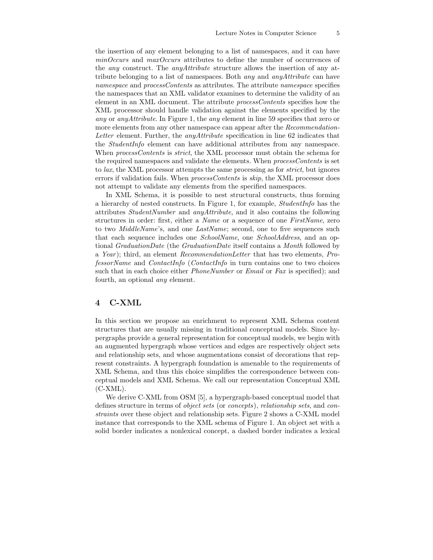the insertion of any element belonging to a list of namespaces, and it can have minOccurs and maxOccurs attributes to define the number of occurrences of the any construct. The anyAttribute structure allows the insertion of any attribute belonging to a list of namespaces. Both any and anyAttribute can have namespace and processContents as attributes. The attribute namespace specifies the namespaces that an XML validator examines to determine the validity of an element in an XML document. The attribute processContents specifies how the XML processor should handle validation against the elements specified by the any or anyAttribute. In Figure 1, the any element in line 59 specifies that zero or more elements from any other namespace can appear after the Recommendation-Letter element. Further, the *anyAttribute* specification in line 62 indicates that the StudentInfo element can have additional attributes from any namespace. When *processContents* is *strict*, the XML processor must obtain the schema for the required namespaces and validate the elements. When processContents is set to lax, the XML processor attempts the same processing as for strict, but ignores errors if validation fails. When *processContents* is *skip*, the XML processor does not attempt to validate any elements from the specified namespaces.

In XML Schema, it is possible to nest structural constructs, thus forming a hierarchy of nested constructs. In Figure 1, for example, StudentInfo has the attributes StudentNumber and anyAttribute, and it also contains the following structures in order: first, either a Name or a sequence of one FirstName, zero to two MiddleName's, and one LastName; second, one to five sequences such that each sequence includes one SchoolName, one SchoolAddress, and an optional GraduationDate (the GraduationDate itself contains a Month followed by a Year ); third, an element RecommendationLetter that has two elements, ProfessorName and ContactInfo (ContactInfo in turn contains one to two choices such that in each choice either *PhoneNumber* or *Email* or *Fax* is specified); and fourth, an optional any element.

## 4 C-XML

In this section we propose an enrichment to represent XML Schema content structures that are usually missing in traditional conceptual models. Since hypergraphs provide a general representation for conceptual models, we begin with an augmented hypergraph whose vertices and edges are respectively object sets and relationship sets, and whose augmentations consist of decorations that represent constraints. A hypergraph foundation is amenable to the requirements of XML Schema, and thus this choice simplifies the correspondence between conceptual models and XML Schema. We call our representation Conceptual XML  $(C-XML)$ .

We derive C-XML from OSM [5], a hypergraph-based conceptual model that defines structure in terms of object sets (or concepts), relationship sets, and constraints over these object and relationship sets. Figure 2 shows a C-XML model instance that corresponds to the XML schema of Figure 1. An object set with a solid border indicates a nonlexical concept, a dashed border indicates a lexical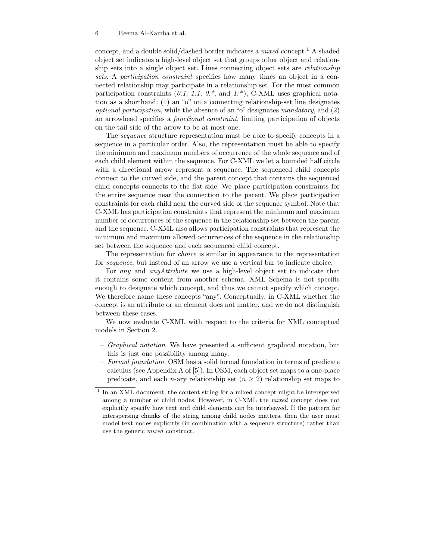concept, and a double solid/dashed border indicates a mixed concept.<sup>1</sup> A shaded object set indicates a high-level object set that groups other object and relationship sets into a single object set. Lines connecting object sets are *relationship* sets. A participation constraint specifies how many times an object in a connected relationship may participate in a relationship set. For the most common participation constraints  $(0:1, 1:1, 0:*,$  and  $1:*,$  C-XML uses graphical notation as a shorthand: (1) an "o" on a connecting relationship-set line designates *optional participation*, while the absence of an " $\alpha$ " designates mandatory, and  $(2)$ an arrowhead specifies a functional constraint, limiting participation of objects on the tail side of the arrow to be at most one.

The sequence structure representation must be able to specify concepts in a sequence in a particular order. Also, the representation must be able to specify the minimum and maximum numbers of occurrence of the whole sequence and of each child element within the sequence. For C-XML we let a bounded half circle with a directional arrow represent a sequence. The sequenced child concepts connect to the curved side, and the parent concept that contains the sequenced child concepts connects to the flat side. We place participation constraints for the entire sequence near the connection to the parent. We place participation constraints for each child near the curved side of the sequence symbol. Note that C-XML has participation constraints that represent the minimum and maximum number of occurrences of the sequence in the relationship set between the parent and the sequence. C-XML also allows participation constraints that represent the minimum and maximum allowed occurrences of the sequence in the relationship set between the sequence and each sequenced child concept.

The representation for choice is similar in appearance to the representation for sequence, but instead of an arrow we use a vertical bar to indicate choice.

For any and anyAttribute we use a high-level object set to indicate that it contains some content from another schema. XML Schema is not specific enough to designate which concept, and thus we cannot specify which concept. We therefore name these concepts "any". Conceptually, in C-XML whether the concept is an attribute or an element does not matter, and we do not distinguish between these cases.

We now evaluate C-XML with respect to the criteria for XML conceptual models in Section 2.

- $-$  *Graphical notation.* We have presented a sufficient graphical notation, but this is just one possibility among many.
- Formal foundation. OSM has a solid formal foundation in terms of predicate calculus (see Appendix A of [5]). In OSM, each object set maps to a one-place predicate, and each n-ary relationship set  $(n \geq 2)$  relationship set maps to

<sup>&</sup>lt;sup>1</sup> In an XML document, the content string for a mixed concept might be interspersed among a number of child nodes. However, in C-XML the mixed concept does not explicitly specify how text and child elements can be interleaved. If the pattern for interspersing chunks of the string among child nodes matters, then the user must model text nodes explicitly (in combination with a sequence structure) rather than use the generic mixed construct.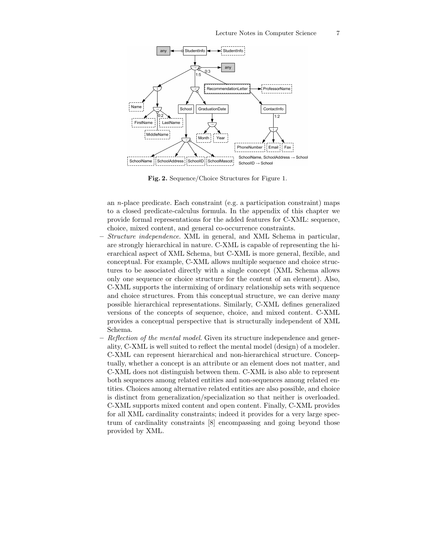

Fig. 2. Sequence/Choice Structures for Figure 1.

an n-place predicate. Each constraint (e.g. a participation constraint) maps to a closed predicate-calculus formula. In the appendix of this chapter we provide formal representations for the added features for C-XML: sequence, choice, mixed content, and general co-occurrence constraints.

- Structure independence. XML in general, and XML Schema in particular, are strongly hierarchical in nature. C-XML is capable of representing the hierarchical aspect of XML Schema, but C-XML is more general, flexible, and conceptual. For example, C-XML allows multiple sequence and choice structures to be associated directly with a single concept (XML Schema allows only one sequence or choice structure for the content of an element). Also, C-XML supports the intermixing of ordinary relationship sets with sequence and choice structures. From this conceptual structure, we can derive many possible hierarchical representations. Similarly, C-XML defines generalized versions of the concepts of sequence, choice, and mixed content. C-XML provides a conceptual perspective that is structurally independent of XML Schema.
- Reflection of the mental model. Given its structure independence and generality, C-XML is well suited to reflect the mental model (design) of a modeler. C-XML can represent hierarchical and non-hierarchical structure. Conceptually, whether a concept is an attribute or an element does not matter, and C-XML does not distinguish between them. C-XML is also able to represent both sequences among related entities and non-sequences among related entities. Choices among alternative related entities are also possible, and choice is distinct from generalization/specialization so that neither is overloaded. C-XML supports mixed content and open content. Finally, C-XML provides for all XML cardinality constraints; indeed it provides for a very large spectrum of cardinality constraints [8] encompassing and going beyond those provided by XML.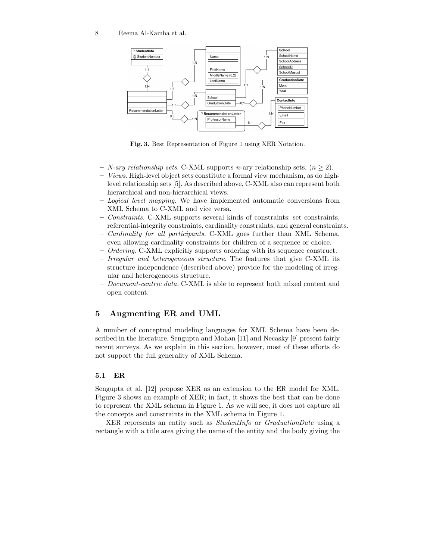

Fig. 3. Best Representation of Figure 1 using XER Notation.

- N-ary relationship sets. C-XML supports n-ary relationship sets,  $(n \geq 2)$ .
- Views. High-level object sets constitute a formal view mechanism, as do highlevel relationship sets [5]. As described above, C-XML also can represent both hierarchical and non-hierarchical views.
- Logical level mapping. We have implemented automatic conversions from XML Schema to C-XML and vice versa.
- Constraints. C-XML supports several kinds of constraints: set constraints, referential-integrity constraints, cardinality constraints, and general constraints.
- Cardinality for all participants. C-XML goes further than XML Schema, even allowing cardinality constraints for children of a sequence or choice.
- Ordering. C-XML explicitly supports ordering with its sequence construct.
- Irregular and heterogeneous structure. The features that give C-XML its structure independence (described above) provide for the modeling of irregular and heterogeneous structure.
- Document-centric data. C-XML is able to represent both mixed content and open content.

## 5 Augmenting ER and UML

A number of conceptual modeling languages for XML Schema have been described in the literature. Sengupta and Mohan [11] and Necasky [9] present fairly recent surveys. As we explain in this section, however, most of these efforts do not support the full generality of XML Schema.

#### 5.1 ER

Sengupta et al. [12] propose XER as an extension to the ER model for XML. Figure 3 shows an example of XER; in fact, it shows the best that can be done to represent the XML schema in Figure 1. As we will see, it does not capture all the concepts and constraints in the XML schema in Figure 1.

XER represents an entity such as StudentInfo or GraduationDate using a rectangle with a title area giving the name of the entity and the body giving the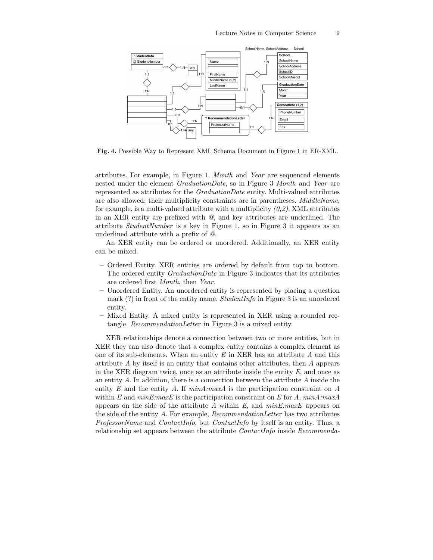

Fig. 4. Possible Way to Represent XML Schema Document in Figure 1 in ER-XML.

attributes. For example, in Figure 1, Month and Year are sequenced elements nested under the element *GraduationDate*, so in Figure 3 Month and Year are represented as attributes for the GraduationDate entity. Multi-valued attributes are also allowed; their multiplicity constraints are in parentheses. *MiddleName*, for example, is a multi-valued attribute with a multiplicity  $(0,2)$ . XML attributes in an XER entity are prefixed with @, and key attributes are underlined. The attribute StudentNumber is a key in Figure 1, so in Figure 3 it appears as an underlined attribute with a prefix of @.

An XER entity can be ordered or unordered. Additionally, an XER entity can be mixed.

- Ordered Entity. XER entities are ordered by default from top to bottom. The ordered entity GraduationDate in Figure 3 indicates that its attributes are ordered first Month, then Year.
- Unordered Entity. An unordered entity is represented by placing a question mark  $(?)$  in front of the entity name. *StudentInfo* in Figure 3 is an unordered entity.
- Mixed Entity. A mixed entity is represented in XER using a rounded rectangle. RecommendationLetter in Figure 3 is a mixed entity.

XER relationships denote a connection between two or more entities, but in XER they can also denote that a complex entity contains a complex element as one of its sub-elements. When an entity  $E$  in XER has an attribute  $A$  and this attribute A by itself is an entity that contains other attributes, then A appears in the XER diagram twice, once as an attribute inside the entity  $E$ , and once as an entity A. In addition, there is a connection between the attribute A inside the entity  $E$  and the entity  $A$ . If  $minA: maxA$  is the participation constraint on  $A$ within E and  $minE: maxE$  is the participation constraint on E for A,  $minA: maxA$ appears on the side of the attribute  $A$  within  $E$ , and  $minE: maxE$  appears on the side of the entity A. For example, RecommendationLetter has two attributes ProfessorName and ContactInfo, but ContactInfo by itself is an entity. Thus, a relationship set appears between the attribute ContactInfo inside Recommenda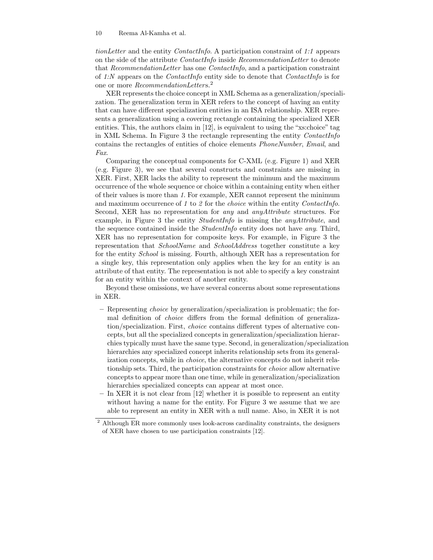tionLetter and the entity ContactInfo. A participation constraint of 1:1 appears on the side of the attribute ContactInfo inside RecommendationLetter to denote that RecommendationLetter has one ContactInfo, and a participation constraint of 1:N appears on the *ContactInfo* entity side to denote that *ContactInfo* is for one or more RecommendationLetters.<sup>2</sup>

XER represents the choice concept in XML Schema as a generalization/specialization. The generalization term in XER refers to the concept of having an entity that can have different specialization entities in an ISA relationship. XER represents a generalization using a covering rectangle containing the specialized XER entities. This, the authors claim in [12], is equivalent to using the "xs:choice" tag in XML Schema. In Figure 3 the rectangle representing the entity ContactInfo contains the rectangles of entities of choice elements PhoneNumber, Email, and Fax.

Comparing the conceptual components for C-XML (e.g. Figure 1) and XER (e.g. Figure 3), we see that several constructs and constraints are missing in XER. First, XER lacks the ability to represent the minimum and the maximum occurrence of the whole sequence or choice within a containing entity when either of their values is more than 1. For example, XER cannot represent the minimum and maximum occurrence of 1 to 2 for the *choice* within the entity *ContactInfo.* Second, XER has no representation for any and anyAttribute structures. For example, in Figure 3 the entity  $StudentInfo$  is missing the *anyAttribute*, and the sequence contained inside the StudentInfo entity does not have any. Third, XER has no representation for composite keys. For example, in Figure 3 the representation that SchoolName and SchoolAddress together constitute a key for the entity School is missing. Fourth, although XER has a representation for a single key, this representation only applies when the key for an entity is an attribute of that entity. The representation is not able to specify a key constraint for an entity within the context of another entity.

Beyond these omissions, we have several concerns about some representations in XER.

- Representing choice by generalization/specialization is problematic; the formal definition of choice differs from the formal definition of generalization/specialization. First, choice contains different types of alternative concepts, but all the specialized concepts in generalization/specialization hierarchies typically must have the same type. Second, in generalization/specialization hierarchies any specialized concept inherits relationship sets from its generalization concepts, while in choice, the alternative concepts do not inherit relationship sets. Third, the participation constraints for choice allow alternative concepts to appear more than one time, while in generalization/specialization hierarchies specialized concepts can appear at most once.
- In XER it is not clear from [12] whether it is possible to represent an entity without having a name for the entity. For Figure 3 we assume that we are able to represent an entity in XER with a null name. Also, in XER it is not

<sup>2</sup> Although ER more commonly uses look-across cardinality constraints, the designers of XER have chosen to use participation constraints [12].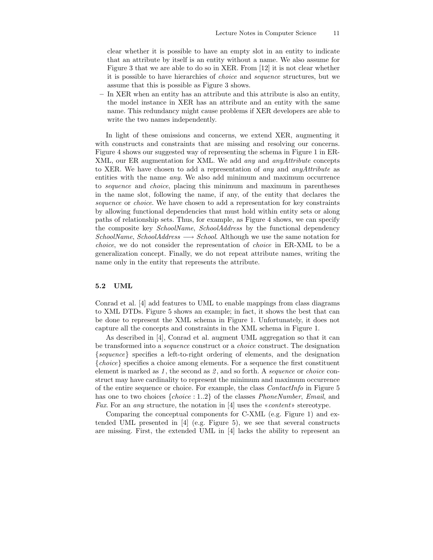clear whether it is possible to have an empty slot in an entity to indicate that an attribute by itself is an entity without a name. We also assume for Figure 3 that we are able to do so in XER. From [12] it is not clear whether it is possible to have hierarchies of choice and sequence structures, but we assume that this is possible as Figure 3 shows.

– In XER when an entity has an attribute and this attribute is also an entity, the model instance in XER has an attribute and an entity with the same name. This redundancy might cause problems if XER developers are able to write the two names independently.

In light of these omissions and concerns, we extend XER, augmenting it with constructs and constraints that are missing and resolving our concerns. Figure 4 shows our suggested way of representing the schema in Figure 1 in ER-XML, our ER augmentation for XML. We add *any* and *anyAttribute* concepts to XER. We have chosen to add a representation of any and anyAttribute as entities with the name any. We also add minimum and maximum occurrence to sequence and choice, placing this minimum and maximum in parentheses in the name slot, following the name, if any, of the entity that declares the sequence or choice. We have chosen to add a representation for key constraints by allowing functional dependencies that must hold within entity sets or along paths of relationship sets. Thus, for example, as Figure 4 shows, we can specify the composite key SchoolName, SchoolAddress by the functional dependency SchoolName, SchoolAddress  $\longrightarrow$  School. Although we use the same notation for choice, we do not consider the representation of choice in ER-XML to be a generalization concept. Finally, we do not repeat attribute names, writing the name only in the entity that represents the attribute.

### 5.2 UML

Conrad et al. [4] add features to UML to enable mappings from class diagrams to XML DTDs. Figure 5 shows an example; in fact, it shows the best that can be done to represent the XML schema in Figure 1. Unfortunately, it does not capture all the concepts and constraints in the XML schema in Figure 1.

As described in [4], Conrad et al. augment UML aggregation so that it can be transformed into a sequence construct or a choice construct. The designation {sequence} specifies a left-to-right ordering of elements, and the designation {choice} specifies a choice among elements. For a sequence the first constituent element is marked as 1 , the second as 2 , and so forth. A sequence or choice construct may have cardinality to represent the minimum and maximum occurrence of the entire sequence or choice. For example, the class ContactInfo in Figure 5 has one to two choices  ${choice: 1..2}$  of the classes *PhoneNumber*, *Email*, and Fax. For an any structure, the notation in [4] uses the «*content*» stereotype.

Comparing the conceptual components for C-XML (e.g. Figure 1) and extended UML presented in [4] (e.g. Figure 5), we see that several constructs are missing. First, the extended UML in [4] lacks the ability to represent an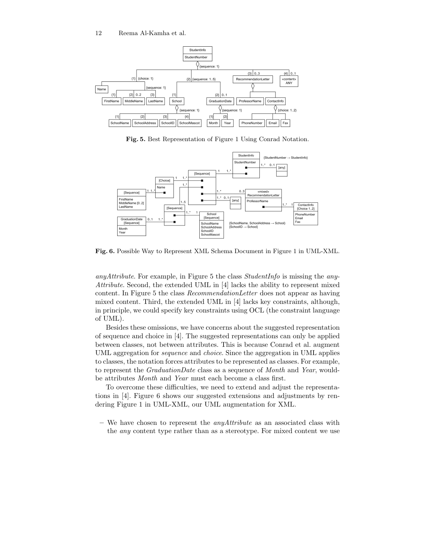

Fig. 5. Best Representation of Figure 1 Using Conrad Notation.



Fig. 6. Possible Way to Represent XML Schema Document in Figure 1 in UML-XML.

anyAttribute. For example, in Figure 5 the class StudentInfo is missing the any-Attribute. Second, the extended UML in [4] lacks the ability to represent mixed content. In Figure 5 the class RecommendationLetter does not appear as having mixed content. Third, the extended UML in [4] lacks key constraints, although, in principle, we could specify key constraints using OCL (the constraint language of UML).

Besides these omissions, we have concerns about the suggested representation of sequence and choice in [4]. The suggested representations can only be applied between classes, not between attributes. This is because Conrad et al. augment UML aggregation for sequence and choice. Since the aggregation in UML applies to classes, the notation forces attributes to be represented as classes. For example, to represent the GraduationDate class as a sequence of Month and Year, wouldbe attributes Month and Year must each become a class first.

To overcome these difficulties, we need to extend and adjust the representations in [4]. Figure 6 shows our suggested extensions and adjustments by rendering Figure 1 in UML-XML, our UML augmentation for XML.

– We have chosen to represent the *anyAttribute* as an associated class with the any content type rather than as a stereotype. For mixed content we use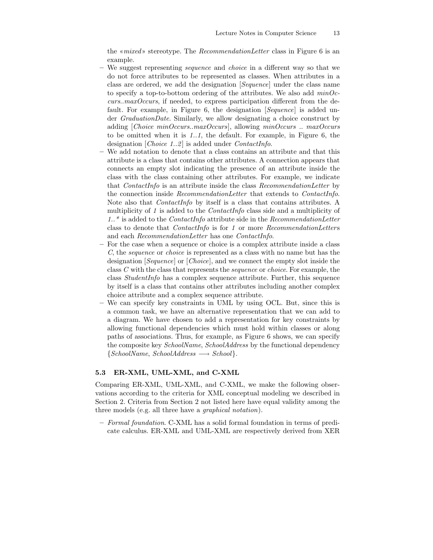the «mixed» stereotype. The RecommendationLetter class in Figure 6 is an example.

- We suggest representing sequence and choice in a different way so that we do not force attributes to be represented as classes. When attributes in a class are ordered, we add the designation [Sequence] under the class name to specify a top-to-bottom ordering of the attributes. We also add  $minOc$ curs..maxOccurs, if needed, to express participation different from the default. For example, in Figure 6, the designation [Sequence] is added under GraduationDate. Similarly, we allow designating a choice construct by adding [Choice minOccurs..maxOccurs], allowing minOccurs .. maxOccurs to be omitted when it is 1..1, the default. For example, in Figure 6, the designation [*Choice 1..2*] is added under *ContactInfo.*
- We add notation to denote that a class contains an attribute and that this attribute is a class that contains other attributes. A connection appears that connects an empty slot indicating the presence of an attribute inside the class with the class containing other attributes. For example, we indicate that ContactInfo is an attribute inside the class RecommendationLetter by the connection inside RecommendationLetter that extends to ContactInfo. Note also that ContactInfo by itself is a class that contains attributes. A multiplicity of 1 is added to the *ContactInfo* class side and a multiplicity of 1..\* is added to the ContactInfo attribute side in the RecommendationLetter class to denote that *ContactInfo* is for 1 or more *RecommendationLetters* and each RecommendationLetter has one ContactInfo.
- For the case when a sequence or choice is a complex attribute inside a class C, the sequence or choice is represented as a class with no name but has the designation [Sequence] or [Choice], and we connect the empty slot inside the class C with the class that represents the sequence or choice. For example, the class StudentInfo has a complex sequence attribute. Further, this sequence by itself is a class that contains other attributes including another complex choice attribute and a complex sequence attribute.
- We can specify key constraints in UML by using OCL. But, since this is a common task, we have an alternative representation that we can add to a diagram. We have chosen to add a representation for key constraints by allowing functional dependencies which must hold within classes or along paths of associations. Thus, for example, as Figure 6 shows, we can specify the composite key SchoolName, SchoolAddress by the functional dependency  ${SchoolName, SchoolAddress \longrightarrow School}.$

#### 5.3 ER-XML, UML-XML, and C-XML

Comparing ER-XML, UML-XML, and C-XML, we make the following observations according to the criteria for XML conceptual modeling we described in Section 2. Criteria from Section 2 not listed here have equal validity among the three models (e.g. all three have a graphical notation).

– Formal foundation. C-XML has a solid formal foundation in terms of predicate calculus. ER-XML and UML-XML are respectively derived from XER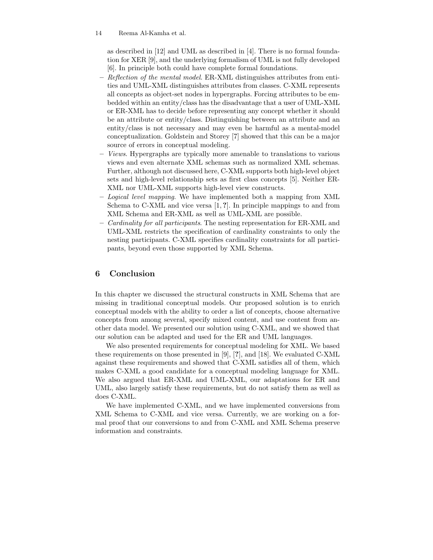14 Reema Al-Kamha et al.

as described in [12] and UML as described in [4]. There is no formal foundation for XER [9], and the underlying formalism of UML is not fully developed [6]. In principle both could have complete formal foundations.

- Reflection of the mental model. ER-XML distinguishes attributes from entities and UML-XML distinguishes attributes from classes. C-XML represents all concepts as object-set nodes in hypergraphs. Forcing attributes to be embedded within an entity/class has the disadvantage that a user of UML-XML or ER-XML has to decide before representing any concept whether it should be an attribute or entity/class. Distinguishing between an attribute and an entity/class is not necessary and may even be harmful as a mental-model conceptualization. Goldstein and Storey [7] showed that this can be a major source of errors in conceptual modeling.
- Views. Hypergraphs are typically more amenable to translations to various views and even alternate XML schemas such as normalized XML schemas. Further, although not discussed here, C-XML supports both high-level object sets and high-level relationship sets as first class concepts [5]. Neither ER-XML nor UML-XML supports high-level view constructs.
- $-$  Logical level mapping. We have implemented both a mapping from XML Schema to C-XML and vice versa [1, ?]. In principle mappings to and from XML Schema and ER-XML as well as UML-XML are possible.
- Cardinality for all participants. The nesting representation for ER-XML and UML-XML restricts the specification of cardinality constraints to only the nesting participants. C-XML specifies cardinality constraints for all participants, beyond even those supported by XML Schema.

## 6 Conclusion

In this chapter we discussed the structural constructs in XML Schema that are missing in traditional conceptual models. Our proposed solution is to enrich conceptual models with the ability to order a list of concepts, choose alternative concepts from among several, specify mixed content, and use content from another data model. We presented our solution using C-XML, and we showed that our solution can be adapted and used for the ER and UML languages.

We also presented requirements for conceptual modeling for XML. We based these requirements on those presented in [9], [?], and [18]. We evaluated C-XML against these requirements and showed that C-XML satisfies all of them, which makes C-XML a good candidate for a conceptual modeling language for XML. We also argued that ER-XML and UML-XML, our adaptations for ER and UML, also largely satisfy these requirements, but do not satisfy them as well as does C-XML.

We have implemented C-XML, and we have implemented conversions from XML Schema to C-XML and vice versa. Currently, we are working on a formal proof that our conversions to and from C-XML and XML Schema preserve information and constraints.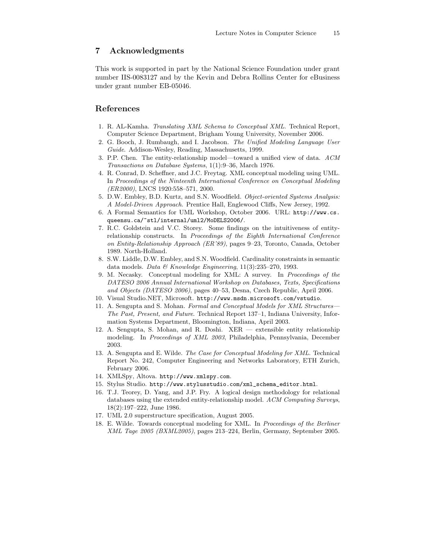## 7 Acknowledgments

This work is supported in part by the National Science Foundation under grant number IIS-0083127 and by the Kevin and Debra Rollins Center for eBusiness under grant number EB-05046.

## References

- 1. R. AL-Kamha. Translating XML Schema to Conceptual XML. Technical Report, Computer Science Department, Brigham Young University, November 2006.
- 2. G. Booch, J. Rumbaugh, and I. Jacobson. The Unified Modeling Language User Guide. Addison-Wesley, Reading, Massachusetts, 1999.
- 3. P.P. Chen. The entity-relationship model—toward a unified view of data. ACM Transactions on Database Systems, 1(1):9–36, March 1976.
- 4. R. Conrad, D. Scheffner, and J.C. Freytag. XML conceptual modeling using UML. In Proceedings of the Ninteenth International Conference on Conceptual Modeling (ER2000), LNCS 1920:558–571, 2000.
- 5. D.W. Embley, B.D. Kurtz, and S.N. Woodfield. Object-oriented Systems Analysis: A Model-Driven Approach. Prentice Hall, Englewood Cliffs, New Jersey, 1992.
- 6. A Formal Semantics for UML Workshop, October 2006. URL: http://www.cs. queensu.ca/~stl/internal/uml2/MoDELS2006/.
- 7. R.C. Goldstein and V.C. Storey. Some findings on the intuitiveness of entityrelationship constructs. In Proceedings of the Eighth International Conference on Entity-Relationship Approach (ER'89), pages 9–23, Toronto, Canada, October 1989. North-Holland.
- 8. S.W. Liddle, D.W. Embley, and S.N. Woodfield. Cardinality constraints in semantic data models. Data  $\mathcal B$  Knowledge Engineering, 11(3):235–270, 1993.
- 9. M. Necasky. Conceptual modeling for XML: A survey. In Proceedings of the DATESO 2006 Annual International Workshop on Databases, Texts, Specifications and Objects (DATESO 2006), pages 40–53, Desna, Czech Republic, April 2006.
- 10. Visual Studio.NET, Microsoft. http://www.msdn.microsoft.com/vstudio.
- 11. A. Sengupta and S. Mohan. Formal and Conceptual Models for XML Structures— The Past, Present, and Future. Technical Report 137–1, Indiana University, Information Systems Department, Bloomington, Indiana, April 2003.
- 12. A. Sengupta, S. Mohan, and R. Doshi. XER extensible entity relationship modeling. In Proceedings of XML 2003, Philadelphia, Pennsylvania, December 2003.
- 13. A. Sengupta and E. Wilde. The Case for Conceptual Modeling for XML. Technical Report No. 242, Computer Engineering and Networks Laboratory, ETH Zurich, February 2006.
- 14. XMLSpy, Altova. http://www.xmlspy.com.
- 15. Stylus Studio. http://www.stylusstudio.com/xml\_schema\_editor.html.
- 16. T.J. Teorey, D. Yang, and J.P. Fry. A logical design methodology for relational databases using the extended entity-relationship model. ACM Computing Surveys, 18(2):197–222, June 1986.
- 17. UML 2.0 superstructure specification, August 2005.
- 18. E. Wilde. Towards conceptual modeling for XML. In Proceedings of the Berliner XML Tage 2005 (BXML2005), pages 213–224, Berlin, Germany, September 2005.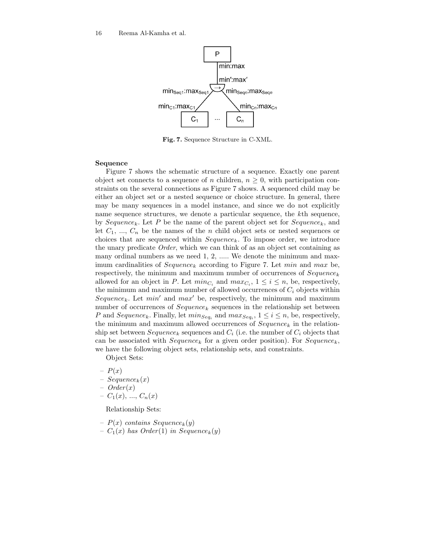

Fig. 7. Sequence Structure in C-XML.

#### Sequence

Figure 7 shows the schematic structure of a sequence. Exactly one parent object set connects to a sequence of n children,  $n \geq 0$ , with participation constraints on the several connections as Figure 7 shows. A sequenced child may be either an object set or a nested sequence or choice structure. In general, there may be many sequences in a model instance, and since we do not explicitly name sequence structures, we denote a particular sequence, the kth sequence, by  $Sequence_k$ . Let P be the name of the parent object set for  $Sequence_k$ , and let  $C_1$ , ...,  $C_n$  be the names of the n child object sets or nested sequences or choices that are sequenced within  $Sequence_k$ . To impose order, we introduce the unary predicate Order, which we can think of as an object set containing as many ordinal numbers as we need  $1, 2, \ldots$ . We denote the minimum and maximum cardinalities of  $Sequence_k$  according to Figure 7. Let min and max be, respectively, the minimum and maximum number of occurrences of  $Sequence_k$ allowed for an object in P. Let  $min_{C_i}$  and  $max_{C_i}$ ,  $1 \leq i \leq n$ , be, respectively, the minimum and maximum number of allowed occurrences of  $C_i$  objects within Sequence<sub>k</sub>. Let  $min'$  and  $max'$  be, respectively, the minimum and maximum number of occurrences of  $Sequence_k$  sequences in the relationship set between P and Sequence<sub>k</sub>. Finally, let  $min_{Seq_i}$  and  $max_{Seq_i}$ ,  $1 \leq i \leq n$ , be, respectively, the minimum and maximum allowed occurrences of  $Sequence_k$  in the relationship set between  $Sequence_k$  sequences and  $C_i$  (i.e. the number of  $C_i$  objects that can be associated with  $Sequence_k$  for a given order position). For  $Sequence_k$ , we have the following object sets, relationship sets, and constraints.

Object Sets:

- $P(x)$  $- Sequence_k(x)$
- $-Order(x)$
- $C_1(x), ..., C_n(x)$

Relationship Sets:

 $-P(x)$  contains Sequence<sub>k</sub>(y)

 $-C_1(x)$  has Order(1) in Sequence<sub>k</sub>(y)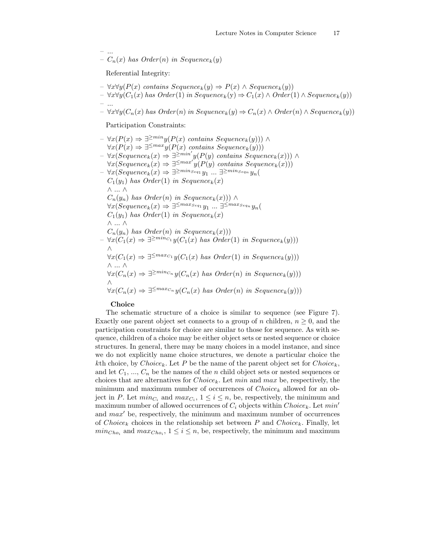– ...  $-C_n(x)$  has Order(n) in Sequence<sub>k</sub>(y)

Referential Integrity:

- $\forall x \forall y (P(x)$  contains Sequence<sub>k</sub>(y)  $\Rightarrow P(x) \land Sequence_k(y)$
- $\forall x \forall y (C_1(x)$  has  $Order(1)$  in  $Sequence_k(y) \Rightarrow C_1(x) \land Order(1) \land Sequence_k(y))$
- ...  $- \forall x \forall y (C_n(x)$  has Order(n) in Sequence<sub>k</sub>(y)  $\Rightarrow C_n(x) \land Order(n) \land Sequence_k(y))$

Participation Constraints:

 $– \forall x (P(x) \Rightarrow \exists^{\geq min} y (P(x) \text{ contains } Sequence_k(y))) \wedge$  $\forall x (P(x) \Rightarrow \exists^{\leq max} y (P(x) \text{ contains } Sequence_k(y)))$  $- \forall x (Sequence_k(x) \Rightarrow \exists^{\geq min'} y (P(y) \text{ contains } Sequence_k(x))) \wedge$  $\forall x (Sequence_k(x) \Rightarrow \exists^{\leq max'} y(P(y) \text{ contains Sequence}_k(x)))$  $- \forall x (Sequence_k(x) \Rightarrow \exists^{\geq min_{Seq_1}} y_1 ... \exists^{\geq min_{Seq_n}} y_n)$  $C_1(y_1)$  has Order(1) in Sequence<sub>k</sub>(x) ∧ ... ∧  $C_n(y_n)$  has  $Order(n)$  in  $Sequence_k(x))$   $\wedge$  $\forall x (Sequence_k(x) \Rightarrow \exists^{\leq max_{Seq_1}} y_1 ... \exists^{\leq max_{Seq_n}} y_n)$  $C_1(y_1)$  has Order(1) in Sequence<sub>k</sub>(x) ∧ ... ∧  $C_n(y_n)$  has Order(n) in Sequence<sub>k</sub>(x)))  $- \forall x (C_1(x) \Rightarrow \exists^{\geq min_{C_1}} y(C_1(x) \text{ has Order}(1) \text{ in Sequence}_k(y)))$ ∧  $\forall x (C_1(x) \Rightarrow \exists^{\leq max_{C_1}} y(C_1(x) \text{ has Order}(1) \text{ in Sequence}_k(y)))$ ∧ ... ∧  $\forall x (C_n(x) \Rightarrow \exists^{\geq min_{C_n}} y(C_n(x) \text{ has Order}(n) \text{ in Sequence}_k(y)))$ ∧  $\forall x (C_n(x) \Rightarrow \exists^{\leq max_{C_n}} y (C_n(x) \text{ has Order}(n) \text{ in Sequence}_k(y)))$ 

#### Choice

The schematic structure of a choice is similar to sequence (see Figure 7). Exactly one parent object set connects to a group of n children,  $n \geq 0$ , and the participation constraints for choice are similar to those for sequence. As with sequence, children of a choice may be either object sets or nested sequence or choice structures. In general, there may be many choices in a model instance, and since we do not explicitly name choice structures, we denote a particular choice the kth choice, by Choice<sub>k</sub>. Let P be the name of the parent object set for Choice<sub>k</sub>, and let  $C_1, ..., C_n$  be the names of the n child object sets or nested sequences or choices that are alternatives for  $Choice_k$ . Let min and max be, respectively, the minimum and maximum number of occurrences of  $Choice_k$  allowed for an object in P. Let  $min_{C_i}$  and  $max_{C_i}$ ,  $1 \leq i \leq n$ , be, respectively, the minimum and maximum number of allowed occurrences of  $C_i$  objects within  $Choice_k$ . Let  $min'$ and  $max'$  be, respectively, the minimum and maximum number of occurrences of Choice<sub>k</sub> choices in the relationship set between P and Choice<sub>k</sub>. Finally, let  $min_{Cho_i}$  and  $max_{Cho_i}$ ,  $1 \leq i \leq n$ , be, respectively, the minimum and maximum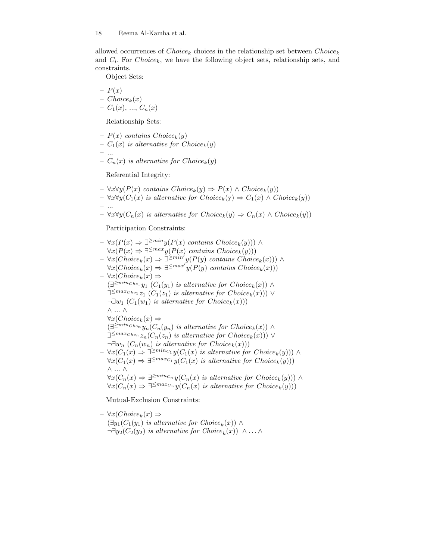allowed occurrences of  $Choice_k$  choices in the relationship set between  $Choice_k$ and  $C_i$ . For  $Choice_k$ , we have the following object sets, relationship sets, and constraints.

Object Sets:

$$
\begin{array}{l} -P(x) \\ -\ Choice_k(x) \\ -C_1(x),\, ..., \, C_n(x)\end{array}
$$

Relationship Sets:

- $-P(x)$  contains  $Choice_k(y)$
- $C_1(x)$  is alternative for Choice<sub>k</sub>(y)
- ...
- $C_n(x)$  is alternative for  $Choice_k(y)$

Referential Integrity:

- ∀x∀y(P(x) contains Choicek(y) ⇒ P(x) ∧ Choicek(y))
- $\forall x \forall y (C_1(x) \text{ is alternative for Choice}_k(y) \Rightarrow C_1(x) \land Choice_k(y))$
- ... –  $\forall x \forall y (C_n(x) \text{ is alternative for Choice}_k(y) \Rightarrow C_n(x) \land Choice_k(y))$

Participation Constraints:

$$
\forall x(P(x) \Rightarrow \exists^{\ge min} y(P(x) \text{ contains Choice}_{k}(y))) \land \forall x(P(x) \Rightarrow \exists^{\le max} y(P(x) \text{ contains Choice}_{k}(y)))
$$
  
\n
$$
\forall x(Choice_{k}(x) \Rightarrow \exists^{\ge min'} y(P(y) \text{ contains Choice}_{k}(x))) \land \forall x(Choice_{k}(x) \Rightarrow \exists^{\le max'} y(P(y) \text{ contains Choice}_{k}(x)))
$$
  
\n
$$
\forall x(Choice_{k}(x) \Rightarrow \exists^{\le max'} y(P(y) \text{ contains Choice}_{k}(x)))
$$
  
\n
$$
\exists^{\ge minCho_1} y_1 (C_1(y_1) \text{ is alternative for Choice}_{k}(x)) \land \exists^{\le maxCho_1} z_1 (C_1(z_1) \text{ is alternative for Choice}_{k}(x))) \lor \neg \exists w_1 (C_1(w_1) \text{ is alternative for Choice}_{k}(x)))
$$
  
\n
$$
\land \dots \land \forall x(Choice_{k}(x) \Rightarrow
$$
  
\n
$$
(\exists^{\ge minCho_1} y_n(C_n(y_n) \text{ is alternative for Choice}_{k}(x))) \land \exists^{\le maxCho_1} z_n(C_n(z_n) \text{ is alternative for Choice}_{k}(x)))
$$
  
\n
$$
\exists^{\le maxCho_1} z_n(C_n(z_n) \text{ is alternative for Choice}_{k}(x)))
$$
  
\n
$$
\forall x(C_1(x) \Rightarrow \exists^{\le minC_1} y(C_1(x) \text{ is alternative for Choice}_{k}(y))) \land \forall x(C_1(x) \Rightarrow \exists^{\le minC_n} y(C_n(x) \text{ is alternative for Choice}_{k}(y)))
$$
  
\n
$$
\forall x(C_n(x) \Rightarrow \exists^{\le minC_n} y(C_n(x) \text{ is alternative for Choice}_{k}(y)))
$$
  
\n
$$
\forall x(C_n(x) \Rightarrow \exists^{\le maxC_n} y(C_n(x) \text{ is alternative for Choice}_{k}(y)))
$$

Mutual-Exclusion Constraints:

$$
\neg \forall x (Choice_k(x) \Rightarrow
$$
  
\n
$$
(\exists y_1 (C_1(y_1) \text{ is alternative for Choice}_k(x)) \land
$$
  
\n
$$
\neg \exists y_2 (C_2(y_2) \text{ is alternative for Choice}_k(x)) \land ... \land
$$